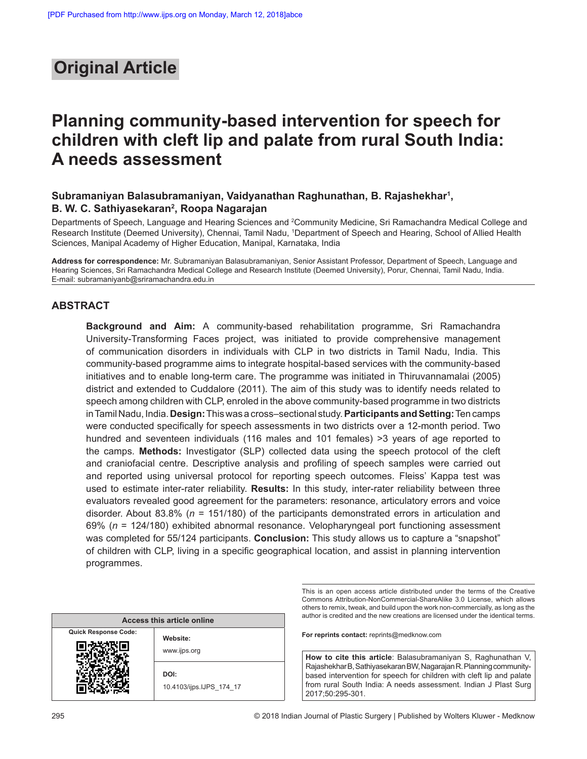# **Original Article**

# **Planning community‑based intervention for speech for children with cleft lip and palate from rural South India: A needs assessment**

# **Subramaniyan Balasubramaniyan, Vaidyanathan Raghunathan, B. Rajashekhar1 , B. W. C. Sathiyasekaran2 , Roopa Nagarajan**

Departments of Speech, Language and Hearing Sciences and <sup>2</sup>Community Medicine, Sri Ramachandra Medical College and Research Institute (Deemed University), Chennai, Tamil Nadu, 'Department of Speech and Hearing, School of Allied Health Sciences, Manipal Academy of Higher Education, Manipal, Karnataka, India

**Address for correspondence:** Mr. Subramaniyan Balasubramaniyan, Senior Assistant Professor, Department of Speech, Language and Hearing Sciences, Sri Ramachandra Medical College and Research Institute (Deemed University), Porur, Chennai, Tamil Nadu, India. E-mail: subramaniyanb@sriramachandra.edu.in

# **ABSTRACT**

**Background and Aim:** A community-based rehabilitation programme, Sri Ramachandra University‑Transforming Faces project, was initiated to provide comprehensive management of communication disorders in individuals with CLP in two districts in Tamil Nadu, India. This community‑based programme aims to integrate hospital‑based services with the community‑based initiatives and to enable long‑term care. The programme was initiated in Thiruvannamalai (2005) district and extended to Cuddalore (2011). The aim of this study was to identify needs related to speech among children with CLP, enroled in the above community-based programme in two districts in Tamil Nadu, India. **Design:** This was a cross–sectional study. **ParticipantsandSetting:** Ten camps were conducted specifically for speech assessments in two districts over a 12‑month period. Two hundred and seventeen individuals (116 males and 101 females) >3 years of age reported to the camps. **Methods:** Investigator (SLP) collected data using the speech protocol of the cleft and craniofacial centre. Descriptive analysis and profiling of speech samples were carried out and reported using universal protocol for reporting speech outcomes. Fleiss' Kappa test was used to estimate inter-rater reliability. **Results:** In this study, inter-rater reliability between three evaluators revealed good agreement for the parameters: resonance, articulatory errors and voice disorder. About 83.8% (*n* = 151/180) of the participants demonstrated errors in articulation and 69% (*n* = 124/180) exhibited abnormal resonance. Velopharyngeal port functioning assessment was completed for 55/124 participants. **Conclusion:** This study allows us to capture a "snapshot" of children with CLP, living in a specific geographical location, and assist in planning intervention programmes.

| Access this article online |                                  |  |
|----------------------------|----------------------------------|--|
| Quick Response Code:       | Website:<br>www.ijps.org         |  |
|                            | DOI:<br>10.4103/ijps.IJPS 174 17 |  |

This is an open access article distributed under the terms of the Creative Commons Attribution‑NonCommercial‑ShareAlike 3.0 License, which allows others to remix, tweak, and build upon the work non‑commercially, as long as the author is credited and the new creations are licensed under the identical terms.

**For reprints contact:** reprints@medknow.com

**How to cite this article**: Balasubramaniyan S, Raghunathan V, Rajashekhar B, Sathiyasekaran BW, Nagarajan R. Planning communitybased intervention for speech for children with cleft lip and palate from rural South India: A needs assessment. Indian J Plast Surg 2017;50:295-301.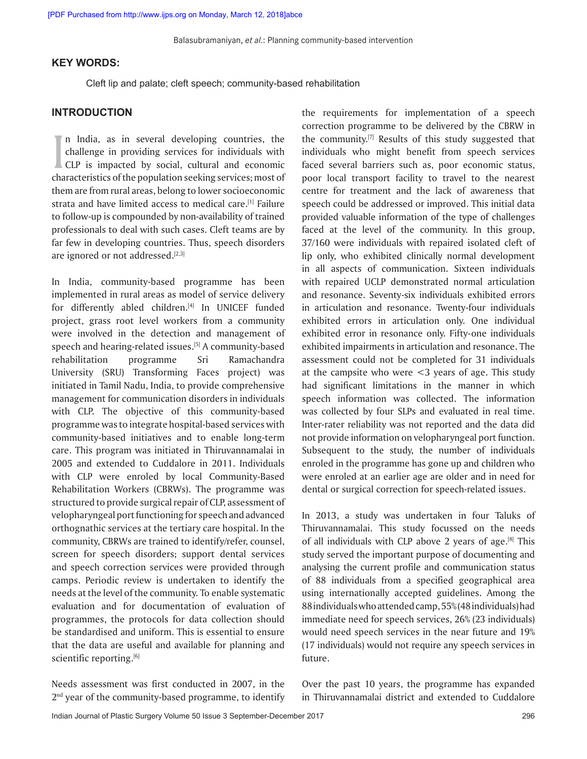Balasubramaniyan, *et al*.: Planning community‑based intervention

## **KEY WORDS:**

Cleft lip and palate; cleft speech; community-based rehabilitation

# **INTRODUCTION**

I<br>Cha n India, as in several developing countries, the challenge in providing services for individuals with CLP is impacted by social, cultural and economic characteristics of the population seeking services; most of them are from rural areas, belong to lower socioeconomic strata and have limited access to medical care.[1] Failure to follow‑up is compounded by non‑availability of trained professionals to deal with such cases. Cleft teams are by far few in developing countries. Thus, speech disorders are ignored or not addressed. $[2,3]$ 

In India, community-based programme has been implemented in rural areas as model of service delivery for differently abled children.<sup>[4]</sup> In UNICEF funded project, grass root level workers from a community were involved in the detection and management of speech and hearing-related issues.<sup>[5]</sup> A community-based rehabilitation programme Sri Ramachandra University (SRU) Transforming Faces project) was initiated in Tamil Nadu, India, to provide comprehensive management for communication disorders in individuals with CLP. The objective of this community-based programme was to integrate hospital‑based services with community-based initiatives and to enable long-term care. This program was initiated in Thiruvannamalai in 2005 and extended to Cuddalore in 2011. Individuals with CLP were enroled by local Community-Based Rehabilitation Workers (CBRWs). The programme was structured to provide surgical repair of CLP, assessment of velopharyngeal port functioning for speech and advanced orthognathic services at the tertiary care hospital. In the community, CBRWs are trained to identify/refer, counsel, screen for speech disorders; support dental services and speech correction services were provided through camps. Periodic review is undertaken to identify the needs at the level of the community. To enable systematic evaluation and for documentation of evaluation of programmes, the protocols for data collection should be standardised and uniform. This is essential to ensure that the data are useful and available for planning and scientific reporting.<sup>[6]</sup>

Needs assessment was first conducted in 2007, in the 2<sup>nd</sup> year of the community-based programme, to identify the requirements for implementation of a speech correction programme to be delivered by the CBRW in the community.<sup>[7]</sup> Results of this study suggested that individuals who might benefit from speech services faced several barriers such as, poor economic status, poor local transport facility to travel to the nearest centre for treatment and the lack of awareness that speech could be addressed or improved. This initial data provided valuable information of the type of challenges faced at the level of the community. In this group, 37/160 were individuals with repaired isolated cleft of lip only, who exhibited clinically normal development in all aspects of communication. Sixteen individuals with repaired UCLP demonstrated normal articulation and resonance. Seventy‑six individuals exhibited errors in articulation and resonance. Twenty-four individuals exhibited errors in articulation only. One individual exhibited error in resonance only. Fifty-one individuals exhibited impairments in articulation and resonance. The assessment could not be completed for 31 individuals at the campsite who were  $<$ 3 years of age. This study had significant limitations in the manner in which speech information was collected. The information was collected by four SLPs and evaluated in real time. Inter‑rater reliability was not reported and the data did not provide information on velopharyngeal port function. Subsequent to the study, the number of individuals enroled in the programme has gone up and children who were enroled at an earlier age are older and in need for dental or surgical correction for speech-related issues.

In 2013, a study was undertaken in four Taluks of Thiruvannamalai. This study focussed on the needs of all individuals with CLP above 2 years of age.<sup>[8]</sup> This study served the important purpose of documenting and analysing the current profile and communication status of 88 individuals from a specified geographical area using internationally accepted guidelines. Among the 88 individuals who attended camp, 55% (48 individuals) had immediate need for speech services, 26% (23 individuals) would need speech services in the near future and 19% (17 individuals) would not require any speech services in future.

Over the past 10 years, the programme has expanded in Thiruvannamalai district and extended to Cuddalore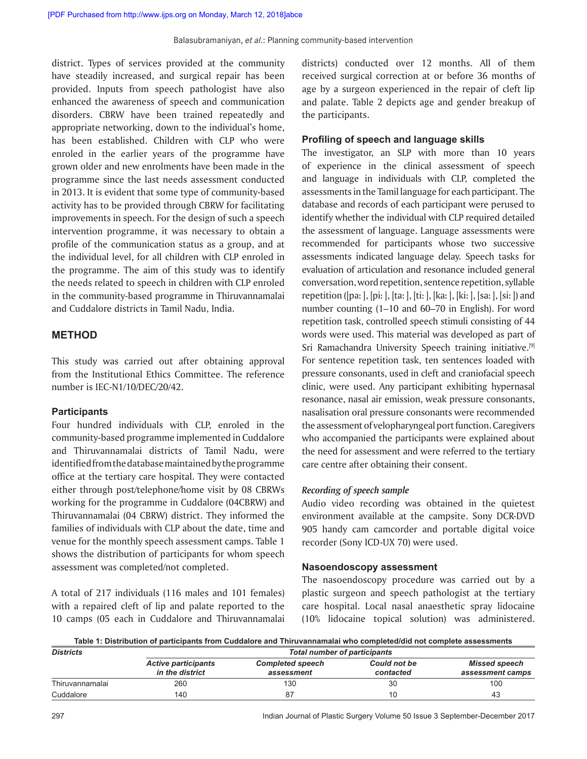district. Types of services provided at the community have steadily increased, and surgical repair has been provided. Inputs from speech pathologist have also enhanced the awareness of speech and communication disorders. CBRW have been trained repeatedly and appropriate networking, down to the individual's home, has been established. Children with CLP who were enroled in the earlier years of the programme have grown older and new enrolments have been made in the programme since the last needs assessment conducted in 2013. It is evident that some type of community-based activity has to be provided through CBRW for facilitating improvements in speech. For the design of such a speech intervention programme, it was necessary to obtain a profile of the communication status as a group, and at the individual level, for all children with CLP enroled in the programme. The aim of this study was to identify the needs related to speech in children with CLP enroled in the community‑based programme in Thiruvannamalai and Cuddalore districts in Tamil Nadu, India.

## **METHOD**

This study was carried out after obtaining approval from the Institutional Ethics Committee. The reference number is IEC‑N1/10/DEC/20/42.

#### **Participants**

Four hundred individuals with CLP, enroled in the community‑based programme implemented in Cuddalore and Thiruvannamalai districts of Tamil Nadu, were identified from the database maintained by the programme office at the tertiary care hospital. They were contacted either through post/telephone/home visit by 08 CBRWs working for the programme in Cuddalore (04CBRW) and Thiruvannamalai (04 CBRW) district. They informed the families of individuals with CLP about the date, time and venue for the monthly speech assessment camps. Table 1 shows the distribution of participants for whom speech assessment was completed/not completed.

A total of 217 individuals (116 males and 101 females) with a repaired cleft of lip and palate reported to the 10 camps (05 each in Cuddalore and Thiruvannamalai districts) conducted over 12 months. All of them received surgical correction at or before 36 months of age by a surgeon experienced in the repair of cleft lip and palate. Table 2 depicts age and gender breakup of the participants.

#### **Profiling of speech and language skills**

The investigator, an SLP with more than 10 years of experience in the clinical assessment of speech and language in individuals with CLP, completed the assessments in the Tamil language for each participant. The database and records of each participant were perused to identify whether the individual with CLP required detailed the assessment of language. Language assessments were recommended for participants whose two successive assessments indicated language delay. Speech tasks for evaluation of articulation and resonance included general conversation, word repetition, sentence repetition, syllable repetition ([pa: ], [pi: ], [ta: ], [ti: ], [ka: ], [ki: ], [sa: ], [si: ]) and number counting (1–10 and 60–70 in English). For word repetition task, controlled speech stimuli consisting of 44 words were used. This material was developed as part of Sri Ramachandra University Speech training initiative.<sup>[9]</sup> For sentence repetition task, ten sentences loaded with pressure consonants, used in cleft and craniofacial speech clinic, were used. Any participant exhibiting hypernasal resonance, nasal air emission, weak pressure consonants, nasalisation oral pressure consonants were recommended the assessment of velopharyngeal port function. Caregivers who accompanied the participants were explained about the need for assessment and were referred to the tertiary care centre after obtaining their consent.

### *Recording of speech sample*

Audio video recording was obtained in the quietest environment available at the campsite. Sony DCR-DVD 905 handy cam camcorder and portable digital voice recorder (Sony ICD‑UX 70) were used.

#### **Nasoendoscopy assessment**

The nasoendoscopy procedure was carried out by a plastic surgeon and speech pathologist at the tertiary care hospital. Local nasal anaesthetic spray lidocaine (10% lidocaine topical solution) was administered.

**Table 1: Distribution of participants from Cuddalore and Thiruvannamalai who completed/did not complete assessments**

| <b>Districts</b> |                                               | <b>Total number of participants</b>   |                           |                                          |  |
|------------------|-----------------------------------------------|---------------------------------------|---------------------------|------------------------------------------|--|
|                  | <b>Active participants</b><br>in the district | <b>Completed speech</b><br>assessment | Could not be<br>contacted | <b>Missed speech</b><br>assessment camps |  |
| Thiruvannamalai  | 260                                           | 130                                   | 30                        | 100                                      |  |
| Cuddalore        | 140                                           |                                       | 10                        | 43                                       |  |

297 Indian Journal of Plastic Surgery Volume 50 Issue 3 September-December 2017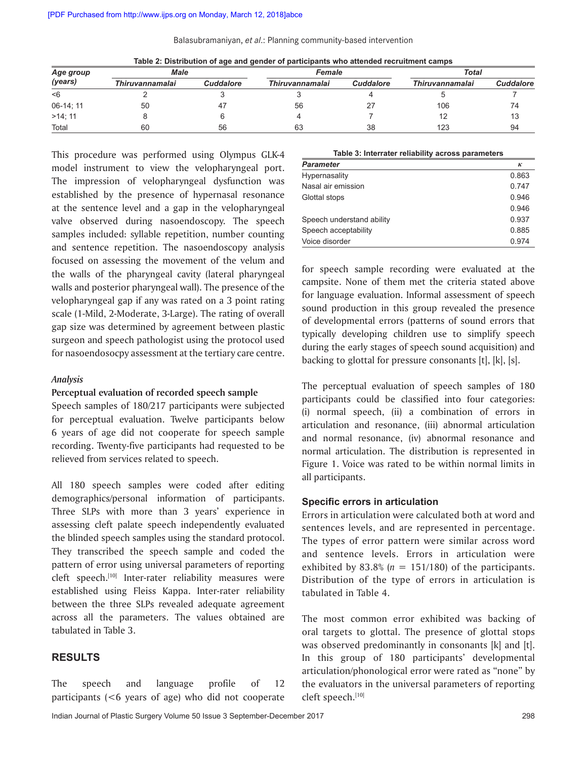#### Balasubramaniyan, *et al*.: Planning community‑based intervention

| Age group   | <b>Male</b>            |                  | <b>Female</b>          |                  | <b>Total</b>           |                  |
|-------------|------------------------|------------------|------------------------|------------------|------------------------|------------------|
| (years)     | <b>Thiruvannamalai</b> | <b>Cuddalore</b> | <b>Thiruvannamalai</b> | <b>Cuddalore</b> | <b>Thiruvannamalai</b> | <b>Cuddalore</b> |
| < 6         |                        |                  |                        |                  |                        |                  |
| $06-14; 11$ | 50                     | 47               | 56                     | 27               | 106                    | 74               |
| >14:11      |                        |                  |                        |                  |                        |                  |
| Total       | 60                     | 56               | 63                     | 38               | 123                    | 94               |

|  | Table 2: Distribution of age and gender of participants who attended recruitment camps |
|--|----------------------------------------------------------------------------------------|
|--|----------------------------------------------------------------------------------------|

This procedure was performed using Olympus GLK-4 model instrument to view the velopharyngeal port. The impression of velopharyngeal dysfunction was established by the presence of hypernasal resonance at the sentence level and a gap in the velopharyngeal valve observed during nasoendoscopy. The speech samples included: syllable repetition, number counting and sentence repetition. The nasoendoscopy analysis focused on assessing the movement of the velum and the walls of the pharyngeal cavity (lateral pharyngeal walls and posterior pharyngeal wall). The presence of the velopharyngeal gap if any was rated on a 3 point rating scale (1‑Mild, 2‑Moderate, 3‑Large). The rating of overall gap size was determined by agreement between plastic surgeon and speech pathologist using the protocol used for nasoendosocpy assessment at the tertiary care centre.

#### *Analysis*

### **Perceptual evaluation of recorded speech sample**

Speech samples of 180/217 participants were subjected for perceptual evaluation. Twelve participants below 6 years of age did not cooperate for speech sample recording. Twenty‑five participants had requested to be relieved from services related to speech.

All 180 speech samples were coded after editing demographics/personal information of participants. Three SLPs with more than 3 years' experience in assessing cleft palate speech independently evaluated the blinded speech samples using the standard protocol. They transcribed the speech sample and coded the pattern of error using universal parameters of reporting cleft speech.<sup>[10]</sup> Inter-rater reliability measures were established using Fleiss Kappa. Inter-rater reliability between the three SLPs revealed adequate agreement across all the parameters. The values obtained are tabulated in Table 3.

### **RESULTS**

The speech and language profile of 12 participants (<6 years of age) who did not cooperate

| Table 3: Interrater reliability across parameters |       |  |
|---------------------------------------------------|-------|--|
| Parameter                                         | к     |  |
| Hypernasality                                     | 0.863 |  |
| Nasal air emission                                | 0.747 |  |
| Glottal stops                                     | 0.946 |  |
|                                                   | 0.946 |  |
| Speech understand ability                         | 0.937 |  |
| Speech acceptability                              | 0.885 |  |
| Voice disorder                                    | 0.974 |  |

for speech sample recording were evaluated at the campsite. None of them met the criteria stated above for language evaluation. Informal assessment of speech sound production in this group revealed the presence of developmental errors (patterns of sound errors that typically developing children use to simplify speech during the early stages of speech sound acquisition) and backing to glottal for pressure consonants [t], [k], [s].

The perceptual evaluation of speech samples of 180 participants could be classified into four categories: (i) normal speech, (ii) a combination of errors in articulation and resonance, (iii) abnormal articulation and normal resonance, (iv) abnormal resonance and normal articulation. The distribution is represented in Figure 1. Voice was rated to be within normal limits in all participants.

### **Specific errors in articulation**

Errors in articulation were calculated both at word and sentences levels, and are represented in percentage. The types of error pattern were similar across word and sentence levels. Errors in articulation were exhibited by  $83.8\%$  ( $n = 151/180$ ) of the participants. Distribution of the type of errors in articulation is tabulated in Table 4.

The most common error exhibited was backing of oral targets to glottal. The presence of glottal stops was observed predominantly in consonants [k] and [t]. In this group of 180 participants' developmental articulation/phonological error were rated as "none" by the evaluators in the universal parameters of reporting cleft speech.[10]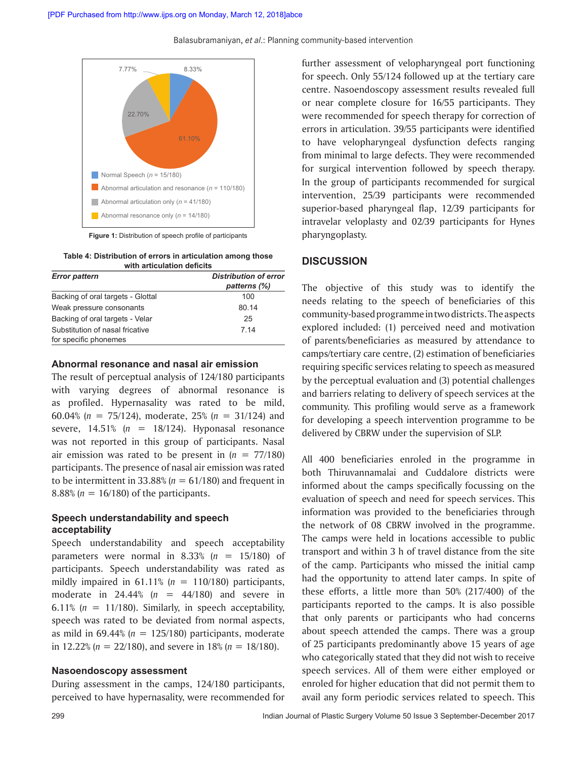



**Figure 1:** Distribution of speech profile of participants

**Table 4: Distribution of errors in articulation among those with articulation deficits**

| <b>Error pattern</b>              | <b>Distribution of error</b><br>patterns (%) |
|-----------------------------------|----------------------------------------------|
| Backing of oral targets - Glottal | 100                                          |
| Weak pressure consonants          | 80.14                                        |
| Backing of oral targets - Velar   | 25                                           |
| Substitution of nasal fricative   | 7 14                                         |
| for specific phonemes             |                                              |

#### **Abnormal resonance and nasal air emission**

The result of perceptual analysis of 124/180 participants with varying degrees of abnormal resonance is as profiled. Hypernasality was rated to be mild, 60.04% (*n* = 75/124), moderate, 25% (*n* = 31/124) and severe, 14.51% (*n* = 18/124). Hyponasal resonance was not reported in this group of participants. Nasal air emission was rated to be present in  $(n = 77/180)$ participants. The presence of nasal air emission was rated to be intermittent in 33.88% ( $n = 61/180$ ) and frequent in 8.88% ( $n = 16/180$ ) of the participants.

## **Speech understandability and speech acceptability**

Speech understandability and speech acceptability parameters were normal in  $8.33\%$  ( $n = 15/180$ ) of participants. Speech understandability was rated as mildly impaired in  $61.11\%$  ( $n = 110/180$ ) participants, moderate in  $24.44\%$  ( $n = 44/180$ ) and severe in 6.11%  $(n = 11/180)$ . Similarly, in speech acceptability, speech was rated to be deviated from normal aspects, as mild in  $69.44\%$  ( $n = 125/180$ ) participants, moderate in 12.22% (*n* = 22/180), and severe in 18% (*n* = 18/180).

## **Nasoendoscopy assessment**

During assessment in the camps, 124/180 participants, perceived to have hypernasality, were recommended for further assessment of velopharyngeal port functioning for speech. Only 55/124 followed up at the tertiary care centre. Nasoendoscopy assessment results revealed full or near complete closure for 16/55 participants. They were recommended for speech therapy for correction of errors in articulation. 39/55 participants were identified to have velopharyngeal dysfunction defects ranging from minimal to large defects. They were recommended for surgical intervention followed by speech therapy. In the group of participants recommended for surgical intervention, 25/39 participants were recommended superior-based pharyngeal flap, 12/39 participants for intravelar veloplasty and 02/39 participants for Hynes pharyngoplasty.

## **DISCUSSION**

The objective of this study was to identify the needs relating to the speech of beneficiaries of this community‑based programme in two districts. The aspects explored included: (1) perceived need and motivation of parents/beneficiaries as measured by attendance to camps/tertiary care centre, (2) estimation of beneficiaries requiring specific services relating to speech as measured by the perceptual evaluation and (3) potential challenges and barriers relating to delivery of speech services at the community. This profiling would serve as a framework for developing a speech intervention programme to be delivered by CBRW under the supervision of SLP.

All 400 beneficiaries enroled in the programme in both Thiruvannamalai and Cuddalore districts were informed about the camps specifically focussing on the evaluation of speech and need for speech services. This information was provided to the beneficiaries through the network of 08 CBRW involved in the programme. The camps were held in locations accessible to public transport and within 3 h of travel distance from the site of the camp. Participants who missed the initial camp had the opportunity to attend later camps. In spite of these efforts, a little more than 50% (217/400) of the participants reported to the camps. It is also possible that only parents or participants who had concerns about speech attended the camps. There was a group of 25 participants predominantly above 15 years of age who categorically stated that they did not wish to receive speech services. All of them were either employed or enroled for higher education that did not permit them to avail any form periodic services related to speech. This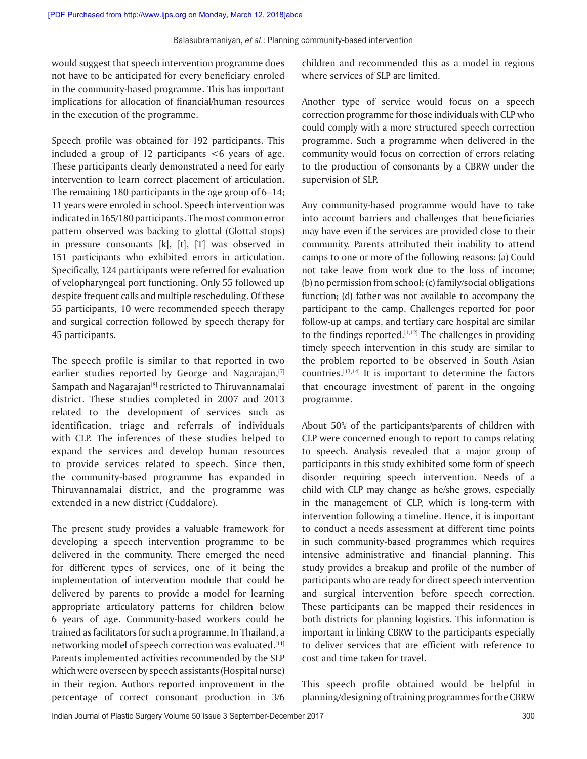would suggest that speech intervention programme does not have to be anticipated for every beneficiary enroled in the community‑based programme. This has important implications for allocation of financial/human resources in the execution of the programme.

Speech profile was obtained for 192 participants. This included a group of 12 participants <6 years of age. These participants clearly demonstrated a need for early intervention to learn correct placement of articulation. The remaining 180 participants in the age group of 6–14; 11 years were enroled in school. Speech intervention was indicatedin 165/180participants.Themost common error pattern observed was backing to glottal (Glottal stops) in pressure consonants [k], [t], [T] was observed in 151 participants who exhibited errors in articulation. Specifically, 124 participants were referred for evaluation of velopharyngeal port functioning. Only 55 followed up despite frequent calls and multiple rescheduling. Of these 55 participants, 10 were recommended speech therapy and surgical correction followed by speech therapy for 45 participants.

The speech profile is similar to that reported in two earlier studies reported by George and Nagarajan,<sup>[7]</sup> Sampath and Nagarajan<sup>[8]</sup> restricted to Thiruvannamalai district. These studies completed in 2007 and 2013 related to the development of services such as identification, triage and referrals of individuals with CLP. The inferences of these studies helped to expand the services and develop human resources to provide services related to speech. Since then, the community‑based programme has expanded in Thiruvannamalai district, and the programme was extended in a new district (Cuddalore).

The present study provides a valuable framework for developing a speech intervention programme to be delivered in the community. There emerged the need for different types of services, one of it being the implementation of intervention module that could be delivered by parents to provide a model for learning appropriate articulatory patterns for children below 6 years of age. Community‑based workers could be trained as facilitators for such a programme. In Thailand, a networking model of speech correction was evaluated.<sup>[11]</sup> Parents implemented activities recommended by the SLP which were overseen by speech assistants (Hospital nurse) in their region. Authors reported improvement in the percentage of correct consonant production in 3/6

children and recommended this as a model in regions where services of SLP are limited.

Another type of service would focus on a speech correction programme for those individuals with CLP who could comply with a more structured speech correction programme. Such a programme when delivered in the community would focus on correction of errors relating to the production of consonants by a CBRW under the supervision of SLP.

Any community-based programme would have to take into account barriers and challenges that beneficiaries may have even if the services are provided close to their community. Parents attributed their inability to attend camps to one or more of the following reasons: (a) Could not take leave from work due to the loss of income; (b) no permission from school; (c) family/social obligations function; (d) father was not available to accompany the participant to the camp. Challenges reported for poor follow‑up at camps, and tertiary care hospital are similar to the findings reported.<sup>[1,12]</sup> The challenges in providing timely speech intervention in this study are similar to the problem reported to be observed in South Asian countries.[13,14] It is important to determine the factors that encourage investment of parent in the ongoing programme.

About 50% of the participants/parents of children with CLP were concerned enough to report to camps relating to speech. Analysis revealed that a major group of participants in this study exhibited some form of speech disorder requiring speech intervention. Needs of a child with CLP may change as he/she grows, especially in the management of CLP, which is long-term with intervention following a timeline. Hence, it is important to conduct a needs assessment at different time points in such community‑based programmes which requires intensive administrative and financial planning. This study provides a breakup and profile of the number of participants who are ready for direct speech intervention and surgical intervention before speech correction. These participants can be mapped their residences in both districts for planning logistics. This information is important in linking CBRW to the participants especially to deliver services that are efficient with reference to cost and time taken for travel.

This speech profile obtained would be helpful in planning/designingoftrainingprogrammesfortheCBRW